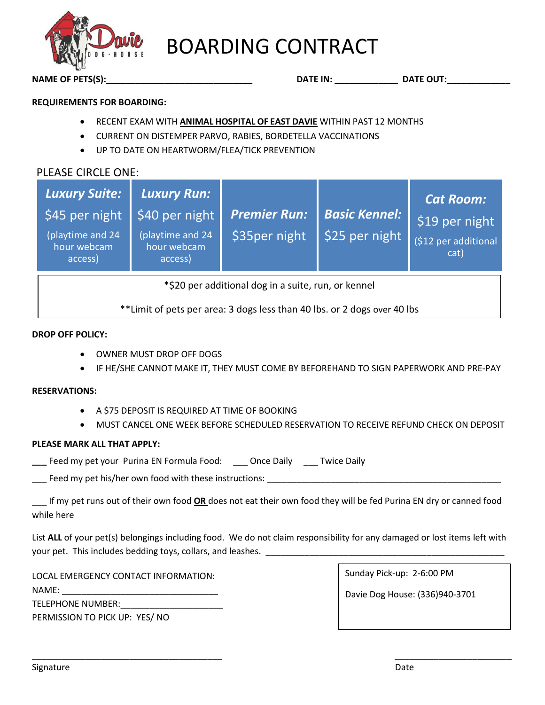

# BOARDING CONTRACT

**NAME OF PETS(S):\_\_\_\_\_\_\_\_\_\_\_\_\_\_\_\_\_\_\_\_\_\_\_\_\_\_\_\_\_\_ DATE IN: \_\_\_\_\_\_\_\_\_\_\_\_\_ DATE OUT:\_\_\_\_\_\_\_\_\_\_\_\_\_**

### **REQUIREMENTS FOR BOARDING:**

- RECENT EXAM WITH **ANIMAL HOSPITAL OF EAST DAVIE** WITHIN PAST 12 MONTHS
- CURRENT ON DISTEMPER PARVO, RABIES, BORDETELLA VACCINATIONS
- UP TO DATE ON HEARTWORM/FLEA/TICK PREVENTION

# PLEASE CIRCLE ONE:

| Luxury Suite:<br>\$45 per night<br>(playtime and 24<br>hour webcam<br>access) | <b>Luxury Run:</b><br>\$40 per night<br>(playtime and 24<br>hour webcam<br>access) | <b>Premier Run:</b><br>\$35per night | <b>Basic Kennel:</b><br>\$25 per night | <b>Cat Room:</b><br>\$19 per night<br>(\$12 per additional<br>cat) |  |  |
|-------------------------------------------------------------------------------|------------------------------------------------------------------------------------|--------------------------------------|----------------------------------------|--------------------------------------------------------------------|--|--|
| *\$20 per additional dog in a suite, run, or kennel                           |                                                                                    |                                      |                                        |                                                                    |  |  |

\*\*Limit of pets per area: 3 dogs less than 40 lbs. or 2 dogs over 40 lbs

#### **DROP OFF POLICY:**

- OWNER MUST DROP OFF DOGS
- IF HE/SHE CANNOT MAKE IT, THEY MUST COME BY BEFOREHAND TO SIGN PAPERWORK AND PRE-PAY

#### **RESERVATIONS:**

- A \$75 DEPOSIT IS REQUIRED AT TIME OF BOOKING
- MUST CANCEL ONE WEEK BEFORE SCHEDULED RESERVATION TO RECEIVE REFUND CHECK ON DEPOSIT

# **PLEASE MARK ALL THAT APPLY:**

**\_\_\_** Feed my pet your Purina EN Formula Food: \_\_\_ Once Daily \_\_\_ Twice Daily

Feed my pet his/her own food with these instructions:

\_\_\_ If my pet runs out of their own food **OR** does not eat their own food they will be fed Purina EN dry or canned food while here

List **ALL** of your pet(s) belongings including food. We do not claim responsibility for any damaged or lost items left with your pet. This includes bedding toys, collars, and leashes.

\_\_\_\_\_\_\_\_\_\_\_\_\_\_\_\_\_\_\_\_\_\_\_\_\_\_\_\_\_\_\_\_\_\_\_\_\_\_\_ \_\_\_\_\_\_\_\_\_\_\_\_\_\_\_\_\_\_\_\_\_\_\_\_

LOCAL EMERGENCY CONTACT INFORMATION:

NAME:

TELEPHONE NUMBER:

PERMISSION TO PICK UP: YES/ NO

Sunday Pick-up: 2-6:00 PM

Davie Dog House: (336)940-3701